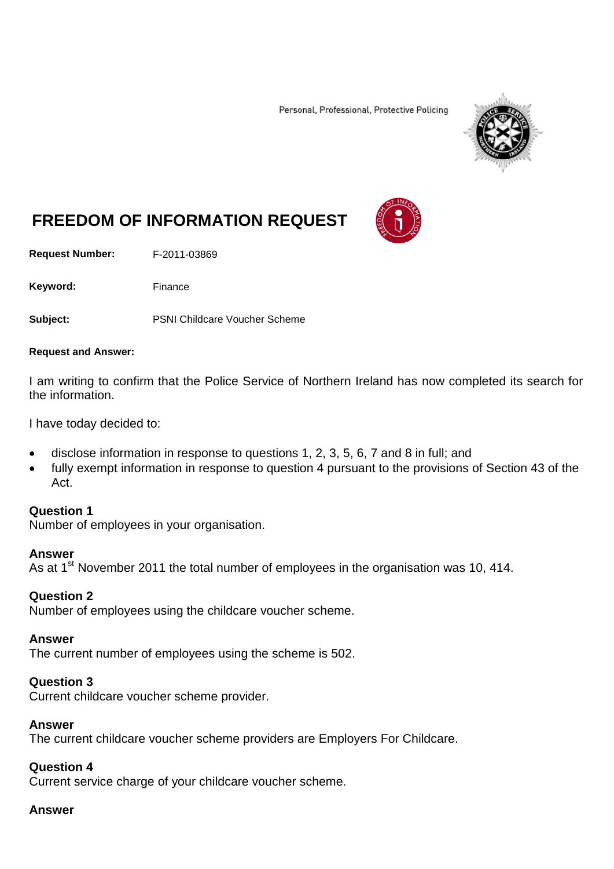Personal, Professional, Protective Policing



# **FREEDOM OF INFORMATION REQUEST**

**Request Number:** F-2011-03869

Keyword: Finance

**Subject:** PSNI Childcare Voucher Scheme

#### **Request and Answer:**

I am writing to confirm that the Police Service of Northern Ireland has now completed its search for the information.

I have today decided to:

- disclose information in response to questions 1, 2, 3, 5, 6, 7 and 8 in full; and
- fully exempt information in response to question 4 pursuant to the provisions of Section 43 of the Act.

#### **Question 1**

Number of employees in your organisation.

#### **Answer**

As at  $1<sup>st</sup>$  November 2011 the total number of employees in the organisation was 10, 414.

## **Question 2**

Number of employees using the childcare voucher scheme.

#### **Answer**

The current number of employees using the scheme is 502.

## **Question 3**

Current childcare voucher scheme provider.

#### **Answer**

The current childcare voucher scheme providers are Employers For Childcare.

## **Question 4**

Current service charge of your childcare voucher scheme.

#### **Answer**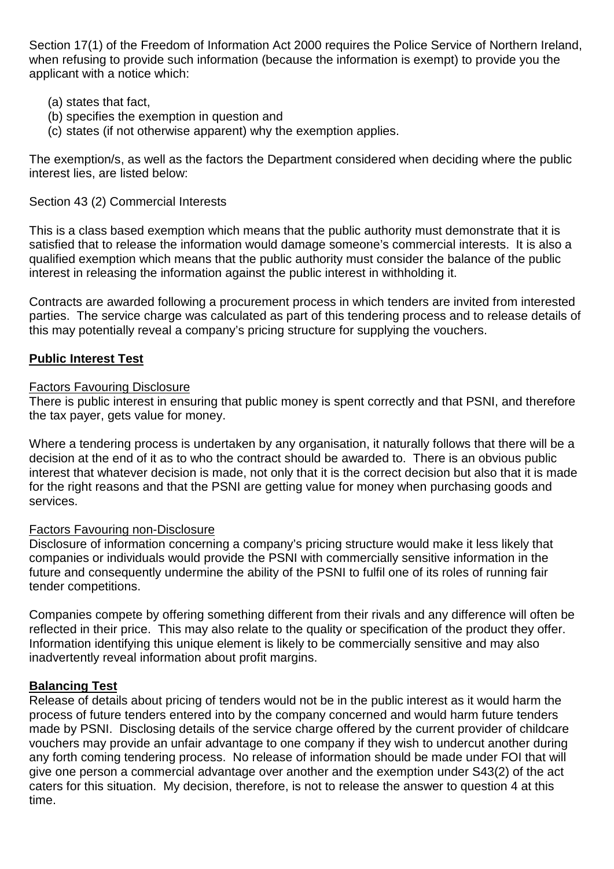Section 17(1) of the Freedom of Information Act 2000 requires the Police Service of Northern Ireland, when refusing to provide such information (because the information is exempt) to provide you the applicant with a notice which:

- (a) states that fact,
- (b) specifies the exemption in question and
- (c) states (if not otherwise apparent) why the exemption applies.

The exemption/s, as well as the factors the Department considered when deciding where the public interest lies, are listed below:

# Section 43 (2) Commercial Interests

This is a class based exemption which means that the public authority must demonstrate that it is satisfied that to release the information would damage someone's commercial interests. It is also a qualified exemption which means that the public authority must consider the balance of the public interest in releasing the information against the public interest in withholding it.

Contracts are awarded following a procurement process in which tenders are invited from interested parties. The service charge was calculated as part of this tendering process and to release details of this may potentially reveal a company's pricing structure for supplying the vouchers.

# **Public Interest Test**

## Factors Favouring Disclosure

There is public interest in ensuring that public money is spent correctly and that PSNI, and therefore the tax payer, gets value for money.

Where a tendering process is undertaken by any organisation, it naturally follows that there will be a decision at the end of it as to who the contract should be awarded to. There is an obvious public interest that whatever decision is made, not only that it is the correct decision but also that it is made for the right reasons and that the PSNI are getting value for money when purchasing goods and services.

## Factors Favouring non-Disclosure

Disclosure of information concerning a company's pricing structure would make it less likely that companies or individuals would provide the PSNI with commercially sensitive information in the future and consequently undermine the ability of the PSNI to fulfil one of its roles of running fair tender competitions.

Companies compete by offering something different from their rivals and any difference will often be reflected in their price. This may also relate to the quality or specification of the product they offer. Information identifying this unique element is likely to be commercially sensitive and may also inadvertently reveal information about profit margins.

# **Balancing Test**

Release of details about pricing of tenders would not be in the public interest as it would harm the process of future tenders entered into by the company concerned and would harm future tenders made by PSNI. Disclosing details of the service charge offered by the current provider of childcare vouchers may provide an unfair advantage to one company if they wish to undercut another during any forth coming tendering process. No release of information should be made under FOI that will give one person a commercial advantage over another and the exemption under S43(2) of the act caters for this situation. My decision, therefore, is not to release the answer to question 4 at this time.